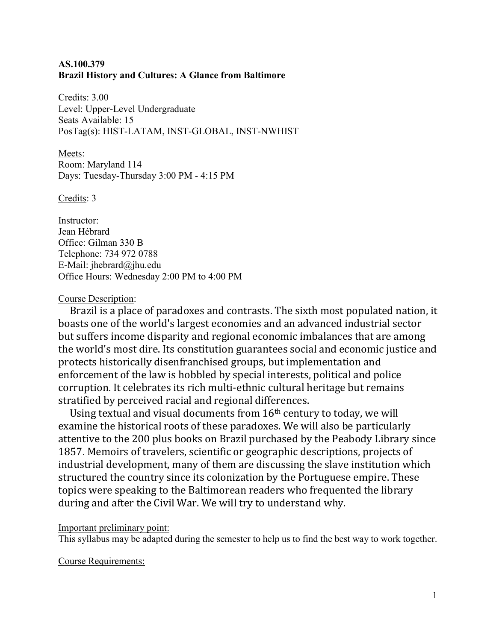## **AS.100.379 Brazil History and Cultures: A Glance from Baltimore**

Credits: 3.00 Level: Upper-Level Undergraduate Seats Available: 15 PosTag(s): HIST-LATAM, INST-GLOBAL, INST-NWHIST

Meets: Room: Maryland 114 Days: Tuesday-Thursday 3:00 PM - 4:15 PM

Credits: 3

Instructor: Jean Hébrard Office: Gilman 330 B Telephone: 734 972 0788 E-Mail: jhebrard@jhu.edu Office Hours: Wednesday 2:00 PM to 4:00 PM

## Course Description:

Brazil is a place of paradoxes and contrasts. The sixth most populated nation, it boasts one of the world's largest economies and an advanced industrial sector but suffers income disparity and regional economic imbalances that are among the world's most dire. Its constitution guarantees social and economic justice and protects historically disenfranchised groups, but implementation and enforcement of the law is hobbled by special interests, political and police corruption. It celebrates its rich multi-ethnic cultural heritage but remains stratified by perceived racial and regional differences.

Using textual and visual documents from 16th century to today, we will examine the historical roots of these paradoxes. We will also be particularly attentive to the 200 plus books on Brazil purchased by the Peabody Library since 1857. Memoirs of travelers, scientific or geographic descriptions, projects of industrial development, many of them are discussing the slave institution which structured the country since its colonization by the Portuguese empire. These topics were speaking to the Baltimorean readers who frequented the library during and after the Civil War. We will try to understand why.

## Important preliminary point:

This syllabus may be adapted during the semester to help us to find the best way to work together.

Course Requirements: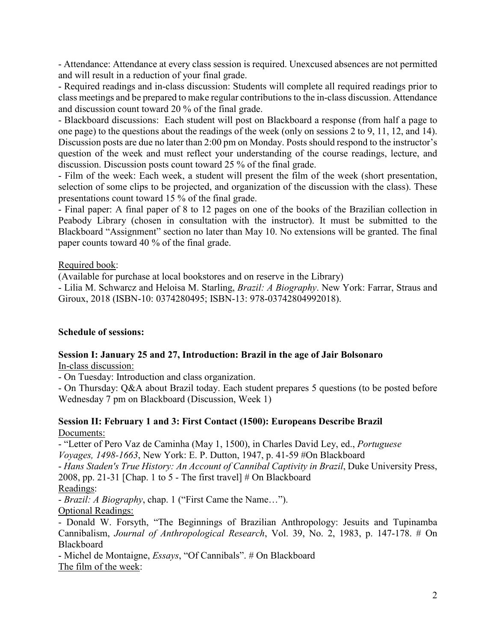- Attendance: Attendance at every class session is required. Unexcused absences are not permitted and will result in a reduction of your final grade.

- Required readings and in-class discussion: Students will complete all required readings prior to class meetings and be prepared to make regular contributions to the in-class discussion. Attendance and discussion count toward 20 % of the final grade.

- Blackboard discussions: Each student will post on Blackboard a response (from half a page to one page) to the questions about the readings of the week (only on sessions 2 to 9, 11, 12, and 14). Discussion posts are due no later than 2:00 pm on Monday. Posts should respond to the instructor's question of the week and must reflect your understanding of the course readings, lecture, and discussion. Discussion posts count toward 25 % of the final grade.

- Film of the week: Each week, a student will present the film of the week (short presentation, selection of some clips to be projected, and organization of the discussion with the class). These presentations count toward 15 % of the final grade.

- Final paper: A final paper of 8 to 12 pages on one of the books of the Brazilian collection in Peabody Library (chosen in consultation with the instructor). It must be submitted to the Blackboard "Assignment" section no later than May 10. No extensions will be granted. The final paper counts toward 40 % of the final grade.

## Required book:

(Available for purchase at local bookstores and on reserve in the Library)

- Lilia M. Schwarcz and Heloisa M. Starling, *Brazil: A Biography*. New York: Farrar, Straus and Giroux, 2018 (ISBN-10: 0374280495; ISBN-13: 978-03742804992018).

### **Schedule of sessions:**

### **Session I: January 25 and 27, Introduction: Brazil in the age of Jair Bolsonaro**

In-class discussion:

- On Tuesday: Introduction and class organization.

- On Thursday: Q&A about Brazil today. Each student prepares 5 questions (to be posted before Wednesday 7 pm on Blackboard (Discussion, Week 1)

### **Session II: February 1 and 3: First Contact (1500): Europeans Describe Brazil** Documents:

- "Letter of Pero Vaz de Caminha (May 1, 1500), in Charles David Ley, ed., *Portuguese Voyages, 1498-1663*, New York: E. P. Dutton, 1947, p. 41-59 #On Blackboard

- *Hans Staden's True History: An Account of Cannibal Captivity in Brazil*, Duke University Press, 2008, pp. 21-31 [Chap. 1 to 5 - The first travel] # On Blackboard

### Readings:

- *Brazil: A Biography*, chap. 1 ("First Came the Name…").

Optional Readings:

- Donald W. Forsyth, "The Beginnings of Brazilian Anthropology: Jesuits and Tupinamba Cannibalism, *Journal of Anthropological Research*, Vol. 39, No. 2, 1983, p. 147-178. # On Blackboard

- Michel de Montaigne, *Essays*, "Of Cannibals". # On Blackboard The film of the week: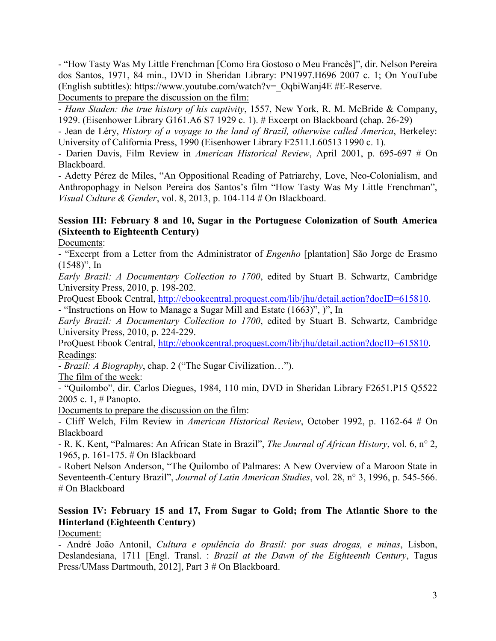- "How Tasty Was My Little Frenchman [Como Era Gostoso o Meu Francês]", dir. Nelson Pereira dos Santos, 1971, 84 min., DVD in Sheridan Library: PN1997.H696 2007 c. 1; On YouTube (English subtitles): https://www.youtube.com/watch?v=\_OqbiWanj4E #E-Reserve.

Documents to prepare the discussion on the film:

- *Hans Staden: the true history of his captivity*, 1557, New York, R. M. McBride & Company, 1929. (Eisenhower Library G161.A6 S7 1929 c. 1). # Excerpt on Blackboard (chap. 26-29)

- Jean de Léry, *History of a voyage to the land of Brazil, otherwise called America*, Berkeley: University of California Press, 1990 (Eisenhower Library F2511.L60513 1990 c. 1).

- Darien Davis, Film Review in *American Historical Review*, April 2001, p. 695-697 # On Blackboard.

- Adetty Pérez de Miles, "An Oppositional Reading of Patriarchy, Love, Neo-Colonialism, and Anthropophagy in Nelson Pereira dos Santos's film "How Tasty Was My Little Frenchman", *Visual Culture & Gender*, vol. 8, 2013, p. 104-114 # On Blackboard.

# **Session III: February 8 and 10, Sugar in the Portuguese Colonization of South America (Sixteenth to Eighteenth Century)**

Documents:

- "Excerpt from a Letter from the Administrator of *Engenho* [plantation] São Jorge de Erasmo  $(1548)$ ", In

*Early Brazil: A Documentary Collection to 1700*, edited by Stuart B. Schwartz, Cambridge University Press, 2010, p. 198-202.

ProQuest Ebook Central, [http://ebookcentral.proquest.com/lib/jhu/detail.action?docID=615810.](http://ebookcentral.proquest.com/lib/jhu/detail.action?docID=615810) - "Instructions on How to Manage a Sugar Mill and Estate (1663)", )", In

*Early Brazil: A Documentary Collection to 1700*, edited by Stuart B. Schwartz, Cambridge University Press, 2010, p. 224-229.

ProQuest Ebook Central, [http://ebookcentral.proquest.com/lib/jhu/detail.action?docID=615810.](http://ebookcentral.proquest.com/lib/jhu/detail.action?docID=615810) Readings:

- *Brazil: A Biography*, chap. 2 ("The Sugar Civilization…").

The film of the week:

*-* "Quilombo", dir. Carlos Diegues, 1984, 110 min, DVD in Sheridan Library F2651.P15 Q5522 2005 c. 1, # Panopto.

Documents to prepare the discussion on the film:

- Cliff Welch, Film Review in *American Historical Review*, October 1992, p. 1162-64 # On Blackboard

- R. K. Kent, "Palmares: An African State in Brazil", *The Journal of African History*, vol. 6, n° 2, 1965, p. 161-175. # On Blackboard

- Robert Nelson Anderson, "The Quilombo of Palmares: A New Overview of a Maroon State in Seventeenth-Century Brazil", *Journal of Latin American Studies*, vol. 28, n° 3, 1996, p. 545-566. # On Blackboard

## **Session IV: February 15 and 17, From Sugar to Gold; from The Atlantic Shore to the Hinterland (Eighteenth Century)**

Document:

- André João Antonil, *Cultura e opulência do Brasil: por suas drogas, e minas*, Lisbon, Deslandesiana, 1711 [Engl. Transl. : *Brazil at the Dawn of the Eighteenth Century*, Tagus Press/UMass Dartmouth, 2012], Part 3 # On Blackboard.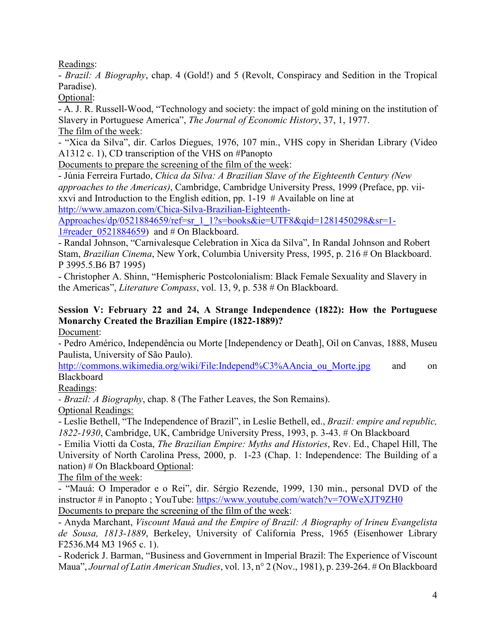Readings:

- *Brazil: A Biography*, chap. 4 (Gold!) and 5 (Revolt, Conspiracy and Sedition in the Tropical Paradise).

Optional:

- A. J. R. Russell-Wood, "Technology and society: the impact of gold mining on the institution of Slavery in Portuguese America", *The Journal of Economic History*, 37, 1, 1977. The film of the week:

- "Xica da Silva", dir. Carlos Diegues, 1976, 107 min., VHS copy in Sheridan Library (Video A1312 c. 1), CD transcription of the VHS on #Panopto

Documents to prepare the screening of the film of the week:

- Júnia Ferreira Furtado, *Chica da Silva: A Brazilian Slave of the Eighteenth Century (New approaches to the Americas)*, Cambridge, Cambridge University Press, 1999 (Preface, pp. viixxvi and Introduction to the English edition, pp. 1-19 # Available on line at [http://www.amazon.com/Chica-Silva-Brazilian-Eighteenth-](http://www.amazon.com/Chica-Silva-Brazilian-Eighteenth-Approaches/dp/0521884659/ref=sr_1_1?s=books&ie=UTF8&qid=1281450298&sr=1-1#reader_0521884659)

[Approaches/dp/0521884659/ref=sr\\_1\\_1?s=books&ie=UTF8&qid=1281450298&sr=1-](http://www.amazon.com/Chica-Silva-Brazilian-Eighteenth-Approaches/dp/0521884659/ref=sr_1_1?s=books&ie=UTF8&qid=1281450298&sr=1-1#reader_0521884659)

1#reader 0521884659) and # On Blackboard.

- Randal Johnson, "Carnivalesque Celebration in Xica da Silva", In Randal Johnson and Robert Stam, *Brazilian Cinema*, New York, Columbia University Press, 1995, p. 216 # On Blackboard. P 3995.5.B6 B7 1995)

- Christopher A. Shinn, "Hemispheric Postcolonialism: Black Female Sexuality and Slavery in the Americas", *Literature Compass*, vol. 13, 9, p. 538 # On Blackboard.

# **Session V: February 22 and 24, A Strange Independence (1822): How the Portuguese Monarchy Created the Brazilian Empire (1822-1889)?**

Document:

- Pedro Américo, Independência ou Morte [Independency or Death], Oil on Canvas, 1888, Museu Paulista, University of São Paulo).

[http://commons.wikimedia.org/wiki/File:Independ%C3%AAncia\\_ou\\_Morte.jpg](http://commons.wikimedia.org/wiki/File:Independ%C3%AAncia_ou_Morte.jpg) and on Blackboard

Readings:

*- Brazil: A Biography*, chap. 8 (The Father Leaves, the Son Remains).

Optional Readings:

- Leslie Bethell, "The Independence of Brazil", in Leslie Bethell, ed., *Brazil: empire and republic, 1822-1930*, Cambridge, UK, Cambridge University Press, 1993, p. 3-43. # On Blackboard

- Emilia Viotti da Costa, *The Brazilian Empire: Myths and Histories*, Rev. Ed., Chapel Hill, The University of North Carolina Press, 2000, p. 1-23 (Chap. 1: Independence: The Building of a nation) # On Blackboard Optional:

The film of the week:

- "Mauá: O Imperador e o Rei", dir. Sérgio Rezende, 1999, 130 min., personal DVD of the instructor # in Panopto ; YouTube:<https://www.youtube.com/watch?v=7OWeXJT9ZH0> Documents to prepare the screening of the film of the week:

- Anyda Marchant, *Viscount Mauá and the Empire of Brazil: A Biography of Irineu Evangelista de Sousa, 1813-1889*, Berkeley, University of California Press, 1965 (Eisenhower Library F2536.M4 M3 1965 c. 1).

- Roderick J. Barman, "Business and Government in Imperial Brazil: The Experience of Viscount Maua", *Journal of Latin American Studies*, vol. 13, n° 2 (Nov., 1981), p. 239-264. # On Blackboard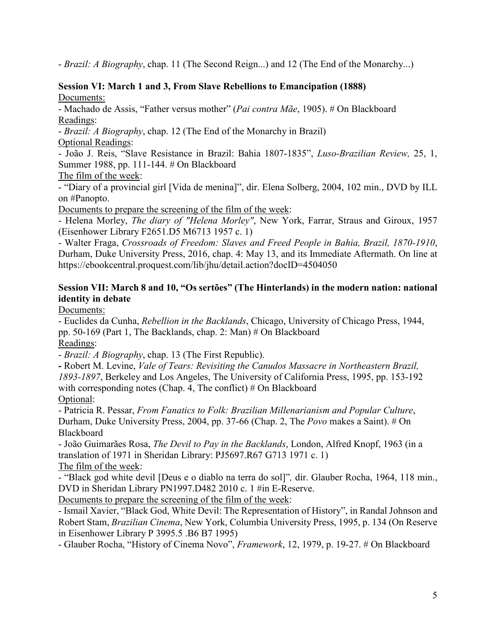- *Brazil: A Biography*, chap. 11 (The Second Reign...) and 12 (The End of the Monarchy...)

### **Session VI: March 1 and 3, From Slave Rebellions to Emancipation (1888)** Documents:

- Machado de Assis, "Father versus mother" (*Pai contra Mãe*, 1905). # On Blackboard Readings:

- *Brazil: A Biography*, chap. 12 (The End of the Monarchy in Brazil)

Optional Readings:

- João J. Reis, "Slave Resistance in Brazil: Bahia 1807-1835", *Luso-Brazilian Review,* 25, 1, Summer 1988, pp. 111-144. # On Blackboard

The film of the week:

- "Diary of a provincial girl [Vida de menina]", dir. Elena Solberg, 2004, 102 min., DVD by ILL on #Panopto.

Documents to prepare the screening of the film of the week:

- Helena Morley, *The diary of "Helena Morley"*, New York, Farrar, Straus and Giroux, 1957 (Eisenhower Library F2651.D5 M6713 1957 c. 1)

- Walter Fraga, *Crossroads of Freedom: Slaves and Freed People in Bahia, Brazil, 1870-1910*, Durham, Duke University Press, 2016, chap. 4: May 13, and its Immediate Aftermath. On line at https://ebookcentral.proquest.com/lib/jhu/detail.action?docID=4504050

## **Session VII: March 8 and 10, "Os sertões" (The Hinterlands) in the modern nation: national identity in debate**

Documents:

- Euclides da Cunha, *Rebellion in the Backlands*, Chicago, University of Chicago Press, 1944, pp. 50-169 (Part 1, The Backlands, chap. 2: Man) # On Blackboard Readings:

- *Brazil: A Biography*, chap. 13 (The First Republic).

**-** Robert M. Levine, *Vale of Tears: Revisiting the Canudos Massacre in Northeastern Brazil, 1893-1897*, Berkeley and Los Angeles, The University of California Press, 1995, pp. 153-192 with corresponding notes (Chap. 4, The conflict) # On Blackboard Optional:

- Patricia R. Pessar, *From Fanatics to Folk: Brazilian Millenarianism and Popular Culture*, Durham, Duke University Press, 2004, pp. 37-66 (Chap. 2, The *Povo* makes a Saint). # On Blackboard

- João Guimarães Rosa, *The Devil to Pay in the Backlands*, London, Alfred Knopf, 1963 (in a translation of 1971 in Sheridan Library: PJ5697.R67 G713 1971 c. 1) The film of the week:

- "Black god white devil [Deus e o diablo na terra do sol]"*,* dir. Glauber Rocha, 1964, 118 min., DVD in Sheridan Library PN1997.D482 2010 c. 1 #in E-Reserve.

Documents to prepare the screening of the film of the week:

- Ismail Xavier, "Black God, White Devil: The Representation of History", in Randal Johnson and Robert Stam, *Brazilian Cinema*, New York, Columbia University Press, 1995, p. 134 (On Reserve in Eisenhower Library P 3995.5 .B6 B7 1995)

- Glauber Rocha, "History of Cinema Novo", *Framework*, 12, 1979, p. 19-27. # On Blackboard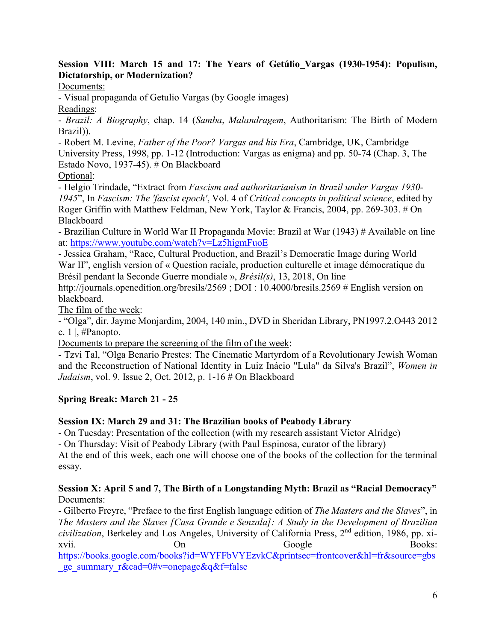## **Session VIII: March 15 and 17: The Years of Getúlio Vargas (1930-1954): Populism, Dictatorship, or Modernization?**

Documents:

- Visual propaganda of Getulio Vargas (by Google images)

Readings:

- *Brazil: A Biography*, chap. 14 (*Samba*, *Malandragem*, Authoritarism: The Birth of Modern Brazil)).

- Robert M. Levine, *Father of the Poor? Vargas and his Era*, Cambridge, UK, Cambridge University Press, 1998, pp. 1-12 (Introduction: Vargas as enigma) and pp. 50-74 (Chap. 3, The Estado Novo, 1937-45). # On Blackboard

Optional:

- Helgio Trindade, "Extract from *Fascism and authoritarianism in Brazil under Vargas 1930- 1945*", In *Fascism: The 'fascist epoch'*, Vol. 4 of *Critical concepts in political science*, edited by Roger Griffin with Matthew Feldman, New York, Taylor & Francis, 2004, pp. 269-303. # On Blackboard

- Brazilian Culture in World War II Propaganda Movie: Brazil at War (1943) # Available on line at:<https://www.youtube.com/watch?v=Lz5higmFuoE>

- Jessica Graham, "Race, Cultural Production, and Brazil's Democratic Image during World War II", english version of « Question raciale, production culturelle et image démocratique du Brésil pendant la Seconde Guerre mondiale », *Brésil(s)*, 13, 2018, On line

http://journals.openedition.org/bresils/2569 ; DOI : 10.4000/bresils.2569 # English version on blackboard.

The film of the week:

- "Olga", dir. Jayme Monjardim, 2004, 140 min., DVD in Sheridan Library, PN1997.2.O443 2012 c. 1  $\vert$ , #Panopto.

Documents to prepare the screening of the film of the week:

- Tzvi Tal, "Olga Benario Prestes: The Cinematic Martyrdom of a Revolutionary Jewish Woman and the Reconstruction of National Identity in Luiz Inácio "Lula" da Silva's Brazil", *Women in Judaism*, vol. 9. Issue 2, Oct. 2012, p. 1-16 # On Blackboard

# **Spring Break: March 21 - 25**

# **Session IX: March 29 and 31: The Brazilian books of Peabody Library**

- On Tuesday: Presentation of the collection (with my research assistant Victor Alridge)

- On Thursday: Visit of Peabody Library (with Paul Espinosa, curator of the library)

At the end of this week, each one will choose one of the books of the collection for the terminal essay.

## **Session X: April 5 and 7, The Birth of a Longstanding Myth: Brazil as "Racial Democracy"** Documents:

- Gilberto Freyre, "Preface to the first English language edition of *The Masters and the Slaves*", in *The Masters and the Slaves [Casa Grande e Senzala]: A Study in the Development of Brazilian civilization*, Berkeley and Los Angeles, University of California Press, 2nd edition, 1986, pp. xixvii. Con On Google Books:

[https://books.google.com/books?id=WYFFbVYEzvkC&printsec=frontcover&hl=fr&source=gbs](https://books.google.com/books?id=WYFFbVYEzvkC&printsec=frontcover&hl=fr&source=gbs_ge_summary_r&cad=0#v=onepage&q&f=false) ge summary  $r&c\text{ad}=0\#v=onepage&q&f=false$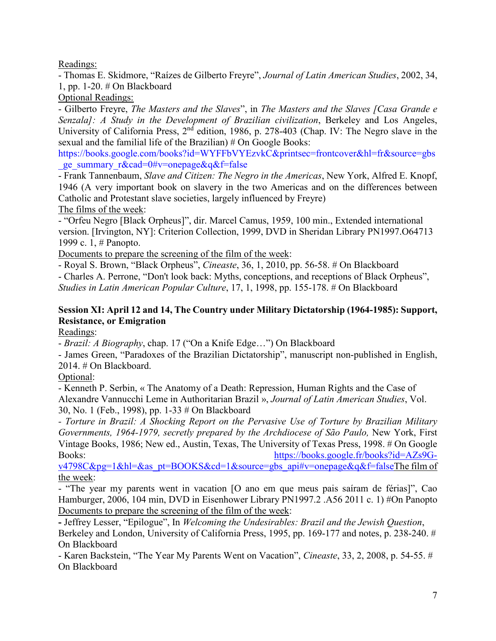Readings:

- Thomas E. Skidmore, "Raízes de Gilberto Freyre", *Journal of Latin American Studies*, 2002, 34, 1, pp. 1-20. # On Blackboard

Optional Readings:

- Gilberto Freyre, *The Masters and the Slaves*", in *The Masters and the Slaves [Casa Grande e Senzala]: A Study in the Development of Brazilian civilization*, Berkeley and Los Angeles, University of California Press, 2<sup>nd</sup> edition, 1986, p. 278-403 (Chap. IV: The Negro slave in the sexual and the familial life of the Brazilian) # On Google Books:

[https://books.google.com/books?id=WYFFbVYEzvkC&printsec=frontcover&hl=fr&source=gbs](https://books.google.com/books?id=WYFFbVYEzvkC&printsec=frontcover&hl=fr&source=gbs_ge_summary_r&cad=0#v=onepage&q&f=false) ge\_summary\_r&cad=0#v=onepage&q&f=false

- Frank Tannenbaum, *Slave and Citizen: The Negro in the Americas*, New York, Alfred E. Knopf, 1946 (A very important book on slavery in the two Americas and on the differences between Catholic and Protestant slave societies, largely influenced by Freyre)

The films of the week:

- "Orfeu Negro [Black Orpheus]", dir. Marcel Camus, 1959, 100 min., Extended international version. [Irvington, NY]: Criterion Collection, 1999, DVD in Sheridan Library PN1997.O64713 1999 c. 1, # Panopto.

Documents to prepare the screening of the film of the week:

- Royal S. Brown, "Black Orpheus", *Cineaste*, 36, 1, 2010, pp. 56-58. # On Blackboard

- Charles A. Perrone, "Don't look back: Myths, conceptions, and receptions of Black Orpheus",

*Studies in Latin American Popular Culture*, 17, 1, 1998, pp. 155-178. # On Blackboard

# **Session XI: April 12 and 14, The Country under Military Dictatorship (1964-1985): Support, Resistance, or Emigration**

Readings:

- *Brazil: A Biography*, chap. 17 ("On a Knife Edge…") On Blackboard

- James Green, "Paradoxes of the Brazilian Dictatorship", manuscript non-published in English, 2014. # On Blackboard.

Optional:

- Kenneth P. Serbin, « The Anatomy of a Death: Repression, Human Rights and the Case of Alexandre Vannucchi Leme in Authoritarian Brazil », *Journal of Latin American Studies*, Vol. 30, No. 1 (Feb., 1998), pp. 1-33 # On Blackboard

*- Torture in Brazil: A Shocking Report on the Pervasive Use of Torture by Brazilian Military Governments, 1964-1979, secretly prepared by the Archdiocese of São Paulo,* New York, First Vintage Books, 1986; New ed., Austin, Texas, The University of Texas Press, 1998. # On Google Books: [https://books.google.fr/books?id=AZs9G-](https://books.google.fr/books?id=AZs9G-v4798C&pg=1&hl=&as_pt=BOOKS&cd=1&source=gbs_api#v=onepage&q&f=false)

 $v4798C\&pg=1\&hl=\&as_pt=BOOKS\&cd=1\&source=gbs-api\#v=onepage\&q\&f=falseThe film of$ the week:

- "The year my parents went in vacation [O ano em que meus pais saíram de férias]", Cao Hamburger, 2006, 104 min, DVD in Eisenhower Library PN1997.2 .A56 2011 c. 1) #On Panopto Documents to prepare the screening of the film of the week:

**-** Jeffrey Lesser, "Epilogue", In *Welcoming the Undesirables: Brazil and the Jewish Question*,

Berkeley and London, University of California Press, 1995, pp. 169-177 and notes, p. 238-240. # On Blackboard

- Karen Backstein, "The Year My Parents Went on Vacation", *Cineaste*, 33, 2, 2008, p. 54-55. # On Blackboard